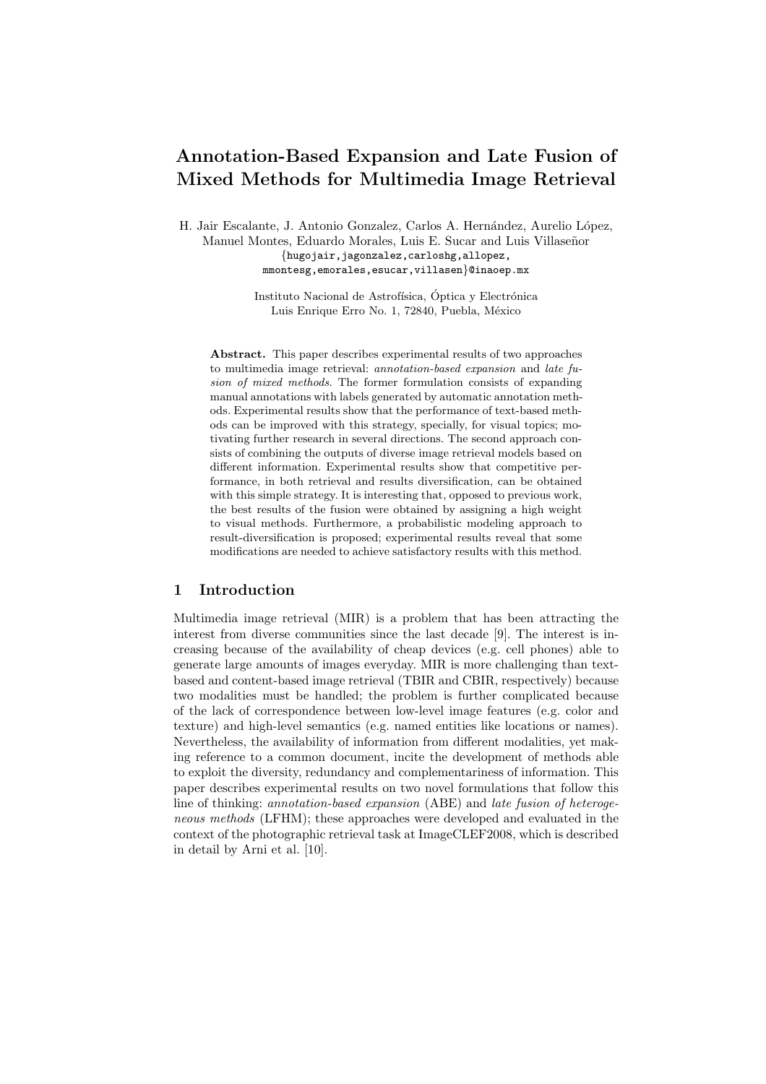# Annotation-Based Expansion and Late Fusion of Mixed Methods for Multimedia Image Retrieval

H. Jair Escalante, J. Antonio Gonzalez, Carlos A. Hernández, Aurelio López, Manuel Montes, Eduardo Morales, Luis E. Sucar and Luis Villaseñor {hugojair,jagonzalez,carloshg,allopez, mmontesg,emorales,esucar,villasen}@inaoep.mx

> Instituto Nacional de Astrofísica, Óptica y Electrónica Luis Enrique Erro No. 1, 72840, Puebla, México

Abstract. This paper describes experimental results of two approaches to multimedia image retrieval: annotation-based expansion and late fusion of mixed methods. The former formulation consists of expanding manual annotations with labels generated by automatic annotation methods. Experimental results show that the performance of text-based methods can be improved with this strategy, specially, for visual topics; motivating further research in several directions. The second approach consists of combining the outputs of diverse image retrieval models based on different information. Experimental results show that competitive performance, in both retrieval and results diversification, can be obtained with this simple strategy. It is interesting that, opposed to previous work, the best results of the fusion were obtained by assigning a high weight to visual methods. Furthermore, a probabilistic modeling approach to result-diversification is proposed; experimental results reveal that some modifications are needed to achieve satisfactory results with this method.

#### 1 Introduction

Multimedia image retrieval (MIR) is a problem that has been attracting the interest from diverse communities since the last decade [9]. The interest is increasing because of the availability of cheap devices (e.g. cell phones) able to generate large amounts of images everyday. MIR is more challenging than textbased and content-based image retrieval (TBIR and CBIR, respectively) because two modalities must be handled; the problem is further complicated because of the lack of correspondence between low-level image features (e.g. color and texture) and high-level semantics (e.g. named entities like locations or names). Nevertheless, the availability of information from different modalities, yet making reference to a common document, incite the development of methods able to exploit the diversity, redundancy and complementariness of information. This paper describes experimental results on two novel formulations that follow this line of thinking: annotation-based expansion (ABE) and late fusion of heterogeneous methods (LFHM); these approaches were developed and evaluated in the context of the photographic retrieval task at ImageCLEF2008, which is described in detail by Arni et al. [10].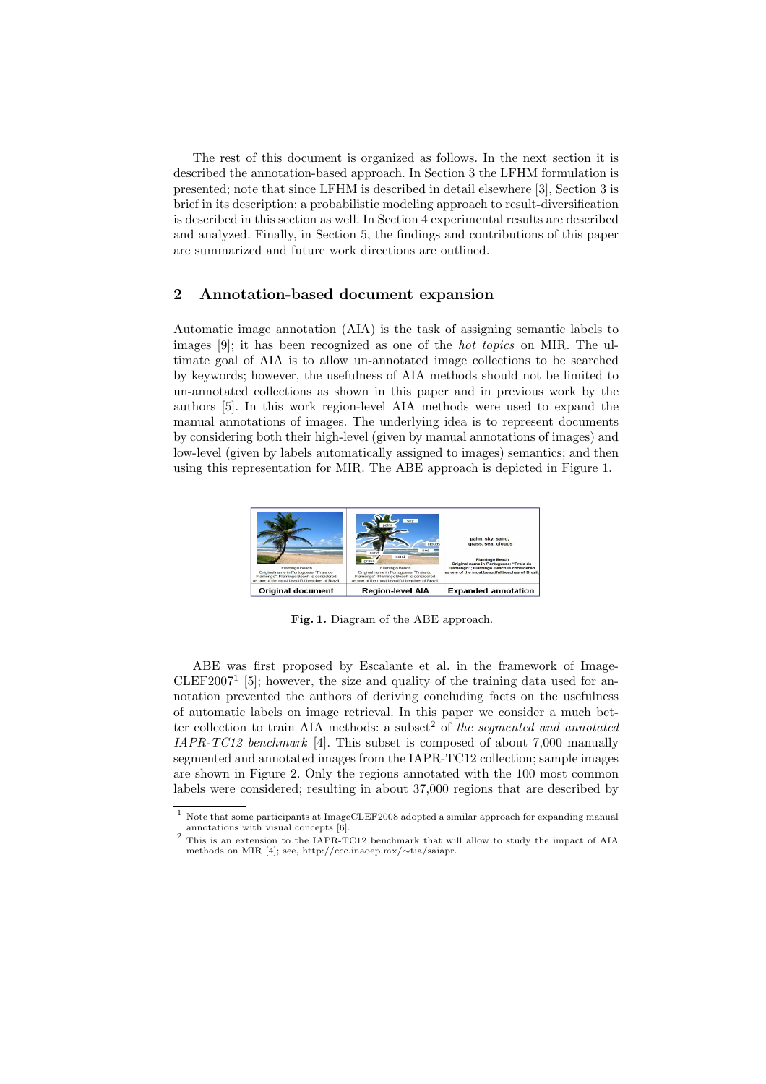The rest of this document is organized as follows. In the next section it is described the annotation-based approach. In Section 3 the LFHM formulation is presented; note that since LFHM is described in detail elsewhere [3], Section 3 is brief in its description; a probabilistic modeling approach to result-diversification is described in this section as well. In Section 4 experimental results are described and analyzed. Finally, in Section 5, the findings and contributions of this paper are summarized and future work directions are outlined.

## 2 Annotation-based document expansion

Automatic image annotation (AIA) is the task of assigning semantic labels to images [9]; it has been recognized as one of the hot topics on MIR. The ultimate goal of AIA is to allow un-annotated image collections to be searched by keywords; however, the usefulness of AIA methods should not be limited to un-annotated collections as shown in this paper and in previous work by the authors [5]. In this work region-level AIA methods were used to expand the manual annotations of images. The underlying idea is to represent documents by considering both their high-level (given by manual annotations of images) and low-level (given by labels automatically assigned to images) semantics; and then using this representation for MIR. The ABE approach is depicted in Figure 1.



Fig. 1. Diagram of the ABE approach.

ABE was first proposed by Escalante et al. in the framework of Image-CLEF2007<sup>1</sup> [5]; however, the size and quality of the training data used for annotation prevented the authors of deriving concluding facts on the usefulness of automatic labels on image retrieval. In this paper we consider a much better collection to train AIA methods: a subset<sup>2</sup> of the segmented and annotated IAPR-TC12 benchmark [4]. This subset is composed of about 7,000 manually segmented and annotated images from the IAPR-TC12 collection; sample images are shown in Figure 2. Only the regions annotated with the 100 most common labels were considered; resulting in about 37,000 regions that are described by

<sup>1</sup> Note that some participants at ImageCLEF2008 adopted a similar approach for expanding manual annotations with visual concepts [6].

<sup>&</sup>lt;sup>2</sup> This is an extension to the IAPR-TC12 benchmark that will allow to study the impact of AIA methods on MIR [4]; see, http://ccc.inaoep.mx/∼tia/saiapr.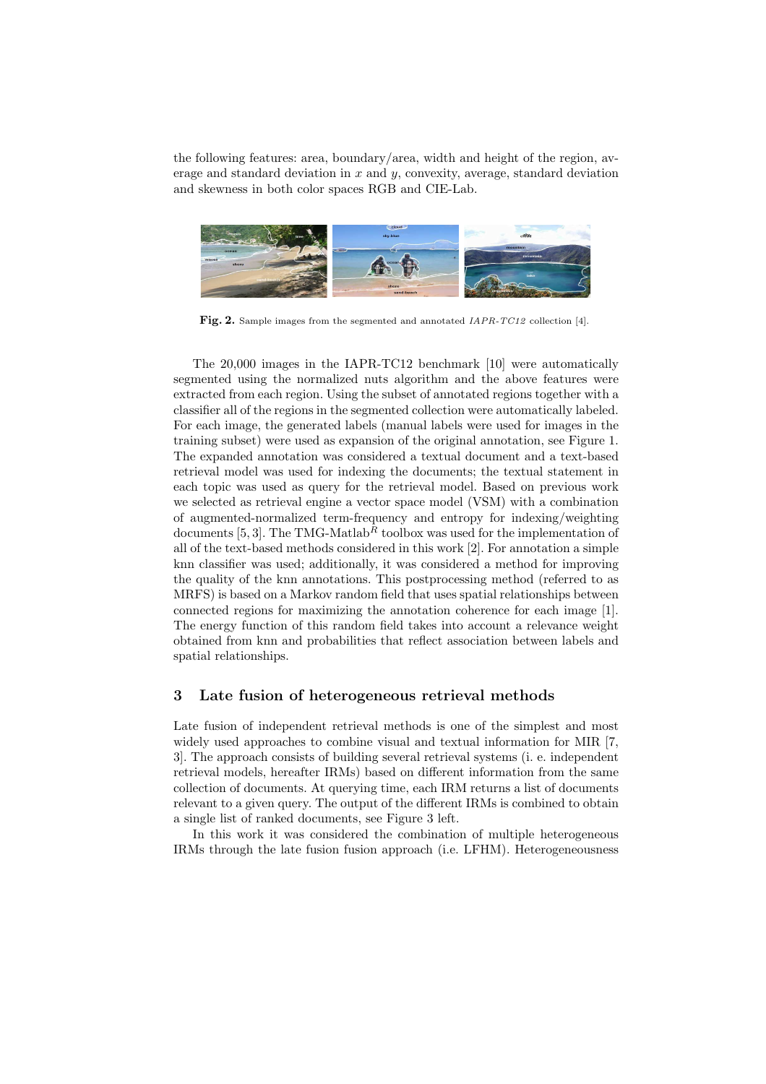the following features: area, boundary/area, width and height of the region, average and standard deviation in  $x$  and  $y$ , convexity, average, standard deviation and skewness in both color spaces RGB and CIE-Lab.



Fig. 2. Sample images from the segmented and annotated IAPR-TC12 collection [4].

The 20,000 images in the IAPR-TC12 benchmark [10] were automatically segmented using the normalized nuts algorithm and the above features were extracted from each region. Using the subset of annotated regions together with a classifier all of the regions in the segmented collection were automatically labeled. For each image, the generated labels (manual labels were used for images in the training subset) were used as expansion of the original annotation, see Figure 1. The expanded annotation was considered a textual document and a text-based retrieval model was used for indexing the documents; the textual statement in each topic was used as query for the retrieval model. Based on previous work we selected as retrieval engine a vector space model (VSM) with a combination of augmented-normalized term-frequency and entropy for indexing/weighting documents [5, 3]. The TMG-Matlab<sup>R</sup> toolbox was used for the implementation of all of the text-based methods considered in this work [2]. For annotation a simple knn classifier was used; additionally, it was considered a method for improving the quality of the knn annotations. This postprocessing method (referred to as MRFS) is based on a Markov random field that uses spatial relationships between connected regions for maximizing the annotation coherence for each image [1]. The energy function of this random field takes into account a relevance weight obtained from knn and probabilities that reflect association between labels and spatial relationships.

#### 3 Late fusion of heterogeneous retrieval methods

Late fusion of independent retrieval methods is one of the simplest and most widely used approaches to combine visual and textual information for MIR [7, 3]. The approach consists of building several retrieval systems (i. e. independent retrieval models, hereafter IRMs) based on different information from the same collection of documents. At querying time, each IRM returns a list of documents relevant to a given query. The output of the different IRMs is combined to obtain a single list of ranked documents, see Figure 3 left.

In this work it was considered the combination of multiple heterogeneous IRMs through the late fusion fusion approach (i.e. LFHM). Heterogeneousness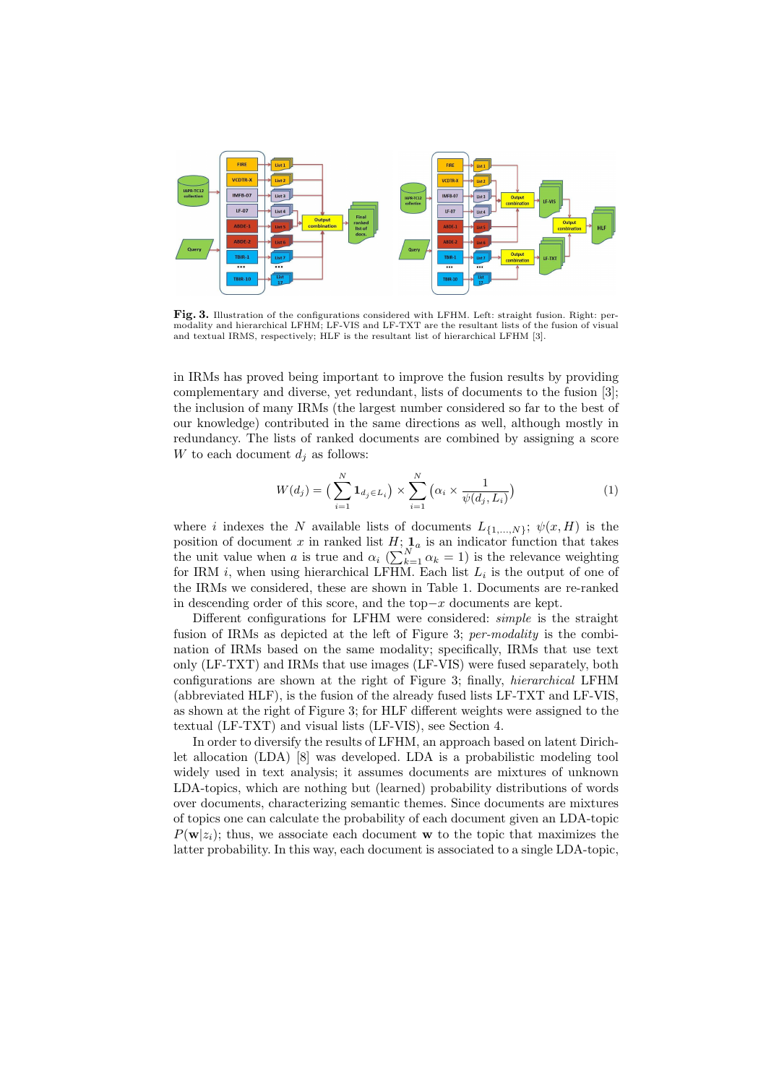

Fig. 3. Illustration of the configurations considered with LFHM. Left: straight fusion. Right: permodality and hierarchical LFHM; LF-VIS and LF-TXT are the resultant lists of the fusion of visual and textual IRMS, respectively; HLF is the resultant list of hierarchical LFHM [3].

in IRMs has proved being important to improve the fusion results by providing complementary and diverse, yet redundant, lists of documents to the fusion [3]; the inclusion of many IRMs (the largest number considered so far to the best of our knowledge) contributed in the same directions as well, although mostly in redundancy. The lists of ranked documents are combined by assigning a score W to each document  $d_i$  as follows:

$$
W(d_j) = \left(\sum_{i=1}^N \mathbf{1}_{d_j \in L_i}\right) \times \sum_{i=1}^N \left(\alpha_i \times \frac{1}{\psi(d_j, L_i)}\right) \tag{1}
$$

where i indexes the N available lists of documents  $L_{\{1,\ldots,N\}}$ ;  $\psi(x, H)$  is the position of document x in ranked list  $H$ ;  $\mathbf{1}_a$  is an indicator function that takes position of document x in ranked list  $H$ ;  $\mathbf{I}_a^N$  is an indicator function that takes<br>the unit value when a is true and  $\alpha_i$  ( $\sum_{k=1}^N \alpha_k = 1$ ) is the relevance weighting for IRM  $i$ , when using hierarchical LFHM. Each list  $L_i$  is the output of one of the IRMs we considered, these are shown in Table 1. Documents are re-ranked in descending order of this score, and the top $-x$  documents are kept.

Different configurations for LFHM were considered: simple is the straight fusion of IRMs as depicted at the left of Figure 3; per-modality is the combination of IRMs based on the same modality; specifically, IRMs that use text only (LF-TXT) and IRMs that use images (LF-VIS) were fused separately, both configurations are shown at the right of Figure 3; finally, hierarchical LFHM (abbreviated HLF), is the fusion of the already fused lists LF-TXT and LF-VIS, as shown at the right of Figure 3; for HLF different weights were assigned to the textual (LF-TXT) and visual lists (LF-VIS), see Section 4.

In order to diversify the results of LFHM, an approach based on latent Dirichlet allocation (LDA) [8] was developed. LDA is a probabilistic modeling tool widely used in text analysis; it assumes documents are mixtures of unknown LDA-topics, which are nothing but (learned) probability distributions of words over documents, characterizing semantic themes. Since documents are mixtures of topics one can calculate the probability of each document given an LDA-topic  $P(\mathbf{w}|z_i)$ ; thus, we associate each document w to the topic that maximizes the latter probability. In this way, each document is associated to a single LDA-topic,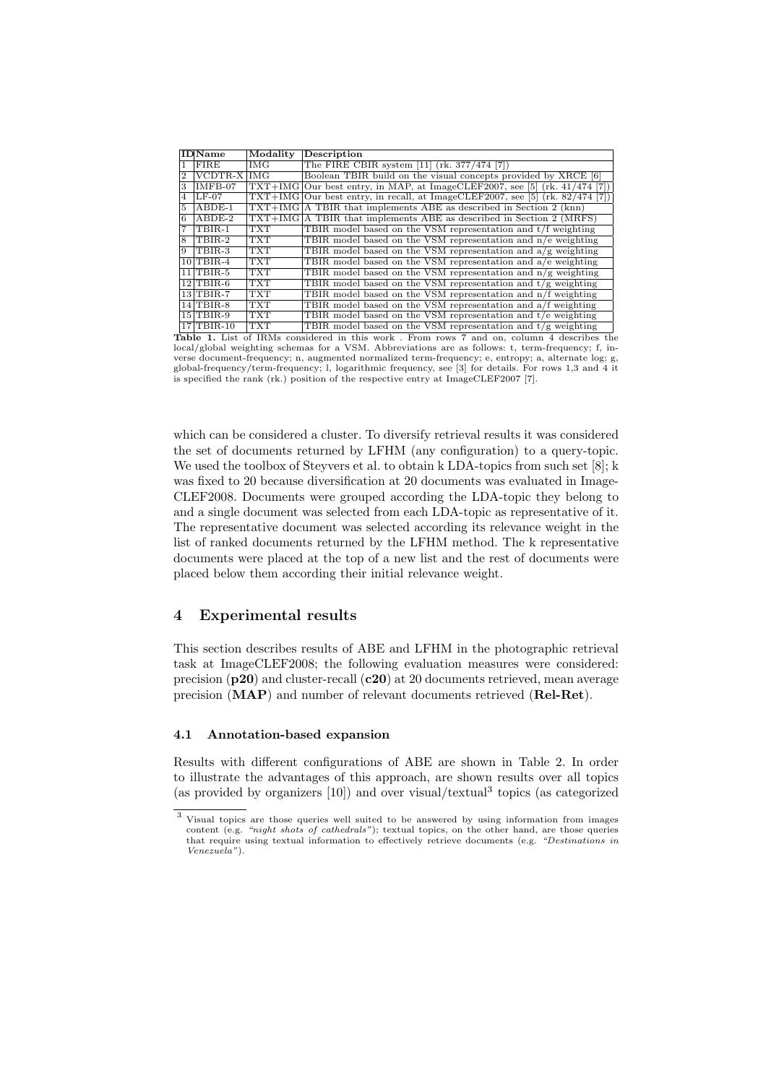|                | <b>IDName</b>        | Modality   | <b>Description</b>                                                              |
|----------------|----------------------|------------|---------------------------------------------------------------------------------|
|                | FIRE                 | IMG        | The FIRE CBIR system [11] (rk. 377/474 [7])                                     |
| $\overline{2}$ | VCDTR-X IMG          |            | Boolean TBIR build on the visual concepts provided by XRCE [6]                  |
| 3              | $IMFB-07$            |            | $TXT+IMG Our best entry, in MAP, at ImageCLEF2007, see [5] (rk. 41/474 [7])$    |
| 4              | $LF-07$              |            | $TXT+IMG$ Our best entry, in recall, at ImageCLEF2007, see [5] (rk. 82/474 [7]) |
| 5              | $ABDE-1$             |            | $TXT+IMG A TBIR$ that implements ABE as described in Section 2 (knn)            |
| 6              | $ABDE-2$             |            | $TXT+IMG A TBIR$ that implements ABE as described in Section 2 (MRFS)           |
|                | TBIR-1               | <b>TXT</b> | TBIR model based on the $VSM$ representation and $t/f$ weighting                |
| 8              | TBIR-2               | <b>TXT</b> | TBIR model based on the VSM representation and n/e weighting                    |
| 9              | TBIR-3               | <b>TXT</b> | TBIR model based on the VSM representation and $a/g$ weighting                  |
|                | $10$ TBIR-4          | <b>TXT</b> | TBIR model based on the VSM representation and a/e weighting                    |
|                | $11$ TBIR-5          | <b>TXT</b> | TBIR model based on the VSM representation and $n/g$ weighting                  |
|                | $12$ TBIR-6          | <b>TXT</b> | TBIR model based on the VSM representation and $t/g$ weighting                  |
|                | $13$ TBIR-7          | <b>TXT</b> | TBIR model based on the VSM representation and n/f weighting                    |
|                | $14$ TBIR-8          | <b>TXT</b> | TBIR model based on the VSM representation and a/f weighting                    |
|                | $15 {\rm TBIR-9}$    | <b>TXT</b> | TBIR model based on the VSM representation and $t/e$ weighting                  |
|                | $17 T \text{BIR-10}$ | <b>TXT</b> | TBIR model based on the VSM representation and $t/g$ weighting                  |

Table 1. List of IRMs considered in this work . From rows 7 and on, column 4 describes the local/global weighting schemas for a VSM. Abbreviations are as follows: t, term-frequency; f, inverse document-frequency; n, augmented normalized term-frequency; e, entropy; a, alternate log; g, global-frequency/term-frequency; l, logarithmic frequency, see [3] for details. For rows 1,3 and 4 it is specified the rank (rk.) position of the respective entry at ImageCLEF2007 [7].

which can be considered a cluster. To diversify retrieval results it was considered the set of documents returned by LFHM (any configuration) to a query-topic. We used the toolbox of Steyvers et al. to obtain k LDA-topics from such set [8]; k was fixed to 20 because diversification at 20 documents was evaluated in Image-CLEF2008. Documents were grouped according the LDA-topic they belong to and a single document was selected from each LDA-topic as representative of it. The representative document was selected according its relevance weight in the list of ranked documents returned by the LFHM method. The k representative documents were placed at the top of a new list and the rest of documents were placed below them according their initial relevance weight.

## 4 Experimental results

This section describes results of ABE and LFHM in the photographic retrieval task at ImageCLEF2008; the following evaluation measures were considered: precision  $(p20)$  and cluster-recall  $(c20)$  at 20 documents retrieved, mean average precision (MAP) and number of relevant documents retrieved (Rel-Ret).

#### 4.1 Annotation-based expansion

Results with different configurations of ABE are shown in Table 2. In order to illustrate the advantages of this approach, are shown results over all topics (as provided by organizers  $[10]$ ) and over visual/textual<sup>3</sup> topics (as categorized

<sup>3</sup> Visual topics are those queries well suited to be answered by using information from images content (e.g. "night shots of cathedrals"); textual topics, on the other hand, are those queries that require using textual information to effectively retrieve documents (e.g. "Destinations in Venezuela").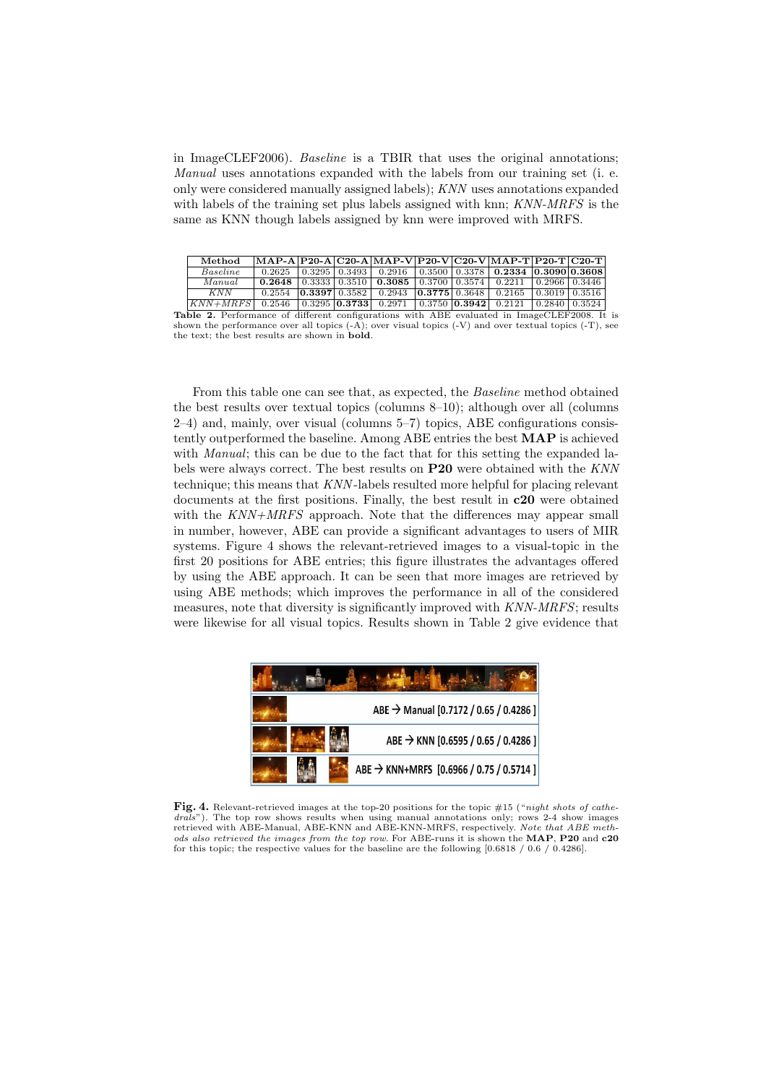in ImageCLEF2006). Baseline is a TBIR that uses the original annotations; Manual uses annotations expanded with the labels from our training set (i. e. only were considered manually assigned labels); KNN uses annotations expanded with labels of the training set plus labels assigned with knn; KNN-MRFS is the same as KNN though labels assigned by knn were improved with MRFS.

|                                                                                                    | Method                                                                          |        |  |  | $\vert$ MAP-A $\vert$ P20-A $\vert$ C20-A $\vert$ MAP-V $\vert$ P20-V $\vert$ C20-V $\vert$ MAP-T $\vert$ P20-T $\vert$ C20-T |  |  |  |  |  |
|----------------------------------------------------------------------------------------------------|---------------------------------------------------------------------------------|--------|--|--|-------------------------------------------------------------------------------------------------------------------------------|--|--|--|--|--|
|                                                                                                    | Baseline                                                                        |        |  |  | $0.2625$ $\mid 0.3295 \mid 0.3493 \mid 0.2916$ $\mid 0.3500 \mid 0.3378 \mid 0.2334$ $\mid 0.3090 \mid 0.3608 \mid$           |  |  |  |  |  |
|                                                                                                    | Manual                                                                          |        |  |  |                                                                                                                               |  |  |  |  |  |
|                                                                                                    | KNN                                                                             | 0.2554 |  |  | $\vert 0.3397 \vert 0.3582 \vert 0.2943 \vert 0.3775 \vert 0.3648 \vert 0.2165 \vert 0.3019 \vert 0.3516 \vert$               |  |  |  |  |  |
|                                                                                                    | $ KNN+MRFS $ 0.2546 $ 0.3295 $ 0.3733 0.2971 0.3750 0.3942 0.2121 0.2840 0.3524 |        |  |  |                                                                                                                               |  |  |  |  |  |
| <b>Table 2.</b> Performance of different configurations with ABE evaluated in ImageCLEF2008. It is |                                                                                 |        |  |  |                                                                                                                               |  |  |  |  |  |

shown the performance over all topics  $(-A)$ ; over visual topics  $(-V)$  and over textual topics  $(-T)$ , see the text; the best results are shown in bold.

From this table one can see that, as expected, the Baseline method obtained the best results over textual topics (columns 8–10); although over all (columns 2–4) and, mainly, over visual (columns 5–7) topics, ABE configurations consistently outperformed the baseline. Among ABE entries the best MAP is achieved with *Manual*; this can be due to the fact that for this setting the expanded labels were always correct. The best results on P20 were obtained with the KNN technique; this means that KNN -labels resulted more helpful for placing relevant documents at the first positions. Finally, the best result in c20 were obtained with the  $KNN+MRFS$  approach. Note that the differences may appear small in number, however, ABE can provide a significant advantages to users of MIR systems. Figure 4 shows the relevant-retrieved images to a visual-topic in the first 20 positions for ABE entries; this figure illustrates the advantages offered by using the ABE approach. It can be seen that more images are retrieved by using ABE methods; which improves the performance in all of the considered measures, note that diversity is significantly improved with KNN-MRFS; results were likewise for all visual topics. Results shown in Table 2 give evidence that

|  | ABE → Manual [0.7172 / 0.65 / 0.4286 ]   |
|--|------------------------------------------|
|  | ABE → KNN [0.6595 / 0.65 / 0.4286 ]      |
|  | ABE → KNN+MRFS [0.6966 / 0.75 / 0.5714 ] |

Fig. 4. Relevant-retrieved images at the top-20 positions for the topic #15 ("night shots of cathedrals"). The top row shows results when using manual annotations only; rows 2-4 show images retrieved with ABE-Manual, ABE-KNN and ABE-KNN-MRFS, respectively. Note that ABE methods also retrieved the images from the top row. For ABE-runs it is shown the MAP, P20 and c20 for this topic; the respective values for the baseline are the following [0.6818 / 0.6 / 0.4286].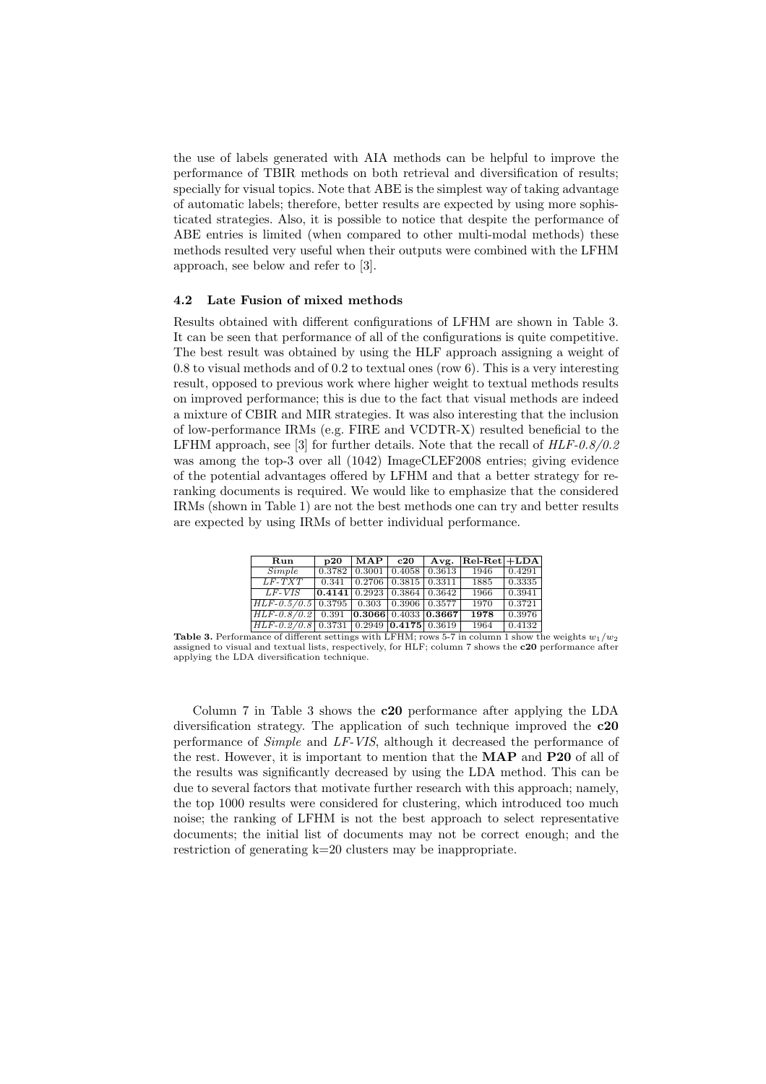the use of labels generated with AIA methods can be helpful to improve the performance of TBIR methods on both retrieval and diversification of results; specially for visual topics. Note that ABE is the simplest way of taking advantage of automatic labels; therefore, better results are expected by using more sophisticated strategies. Also, it is possible to notice that despite the performance of ABE entries is limited (when compared to other multi-modal methods) these methods resulted very useful when their outputs were combined with the LFHM approach, see below and refer to [3].

#### 4.2 Late Fusion of mixed methods

Results obtained with different configurations of LFHM are shown in Table 3. It can be seen that performance of all of the configurations is quite competitive. The best result was obtained by using the HLF approach assigning a weight of 0.8 to visual methods and of 0.2 to textual ones (row 6). This is a very interesting result, opposed to previous work where higher weight to textual methods results on improved performance; this is due to the fact that visual methods are indeed a mixture of CBIR and MIR strategies. It was also interesting that the inclusion of low-performance IRMs (e.g. FIRE and VCDTR-X) resulted beneficial to the LFHM approach, see [3] for further details. Note that the recall of  $HLF-0.8/0.2$ was among the top-3 over all (1042) ImageCLEF2008 entries; giving evidence of the potential advantages offered by LFHM and that a better strategy for reranking documents is required. We would like to emphasize that the considered IRMs (shown in Table 1) are not the best methods one can try and better results are expected by using IRMs of better individual performance.

| Run                                                      | b20                                                         | MAP                                         | $^{\rm c20}$ | Avg. | $ Rel-Ret  + LDA$ |        |
|----------------------------------------------------------|-------------------------------------------------------------|---------------------------------------------|--------------|------|-------------------|--------|
| Simple                                                   |                                                             | $0.3782$   0.3001   0.4058   0.3613         |              |      | 1946              | 0.4291 |
| $LF-TXT$                                                 |                                                             | $0.341 \mid 0.2706 \mid 0.3815 \mid 0.3311$ |              |      | 1885              | 0.3335 |
| $LF-VIS$                                                 | $\vert 0.4141 \vert 0.2923 \vert 0.3864 \vert 0.3642 \vert$ |                                             |              |      | 1966              | 0.3941 |
| $HLF-0.5/0.5$ 0.3795 0.303 0.3906 0.3577                 |                                                             |                                             |              |      | 1970              | 0.3721 |
| $ HLF-0.8/0.2 $ 0.391 <b>0.3066</b> 0.4033 <b>0.3667</b> |                                                             |                                             |              |      | 1978              | 0.3976 |
| $HLF-0.2/0.8$ 0.3731 0.2949 0.4175 0.3619                |                                                             |                                             |              |      | 1964              | 0.4132 |

**Table 3.** Performance of different settings with LFHM; rows 5-7 in column 1 show the weights  $w_1/w_2$ assigned to visual and textual lists, respectively, for HLF; column 7 shows the c20 performance after applying the LDA diversification technique.

Column 7 in Table 3 shows the c20 performance after applying the LDA diversification strategy. The application of such technique improved the c20 performance of Simple and LF-VIS, although it decreased the performance of the rest. However, it is important to mention that the MAP and P20 of all of the results was significantly decreased by using the LDA method. This can be due to several factors that motivate further research with this approach; namely, the top 1000 results were considered for clustering, which introduced too much noise; the ranking of LFHM is not the best approach to select representative documents; the initial list of documents may not be correct enough; and the restriction of generating k=20 clusters may be inappropriate.